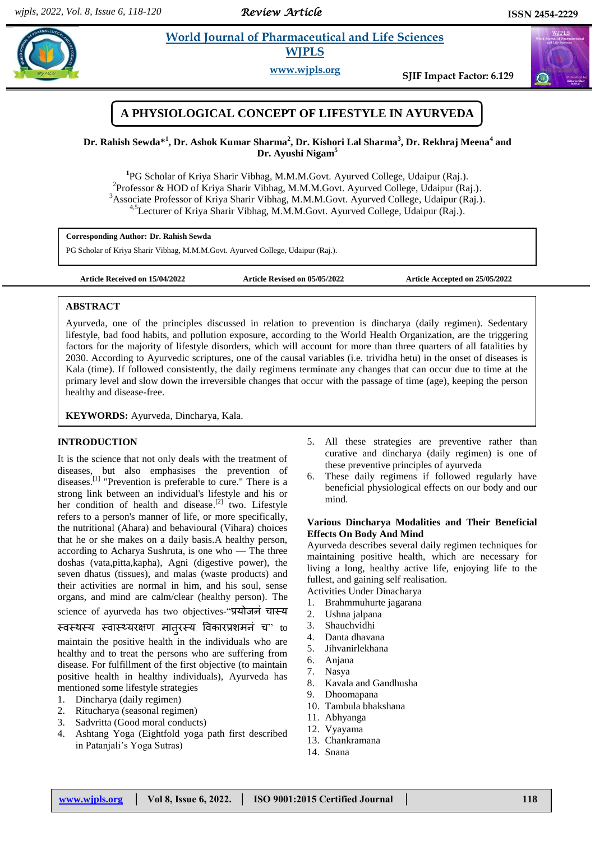*Review Article* 

# **Rahim** *et al. <b>Pharmaceutical and Life Sciences*  **WJPLS**

**www.wjpls.org SJIF Impact Factor: 6.129**



**Dr. Rahish Sewda\* 1 , Dr. Ashok Kumar Sharma<sup>2</sup> , Dr. Kishori Lal Sharma<sup>3</sup> , Dr. Rekhraj Meena<sup>4</sup> and Dr. Ayushi Nigam<sup>5</sup>**

**1** PG Scholar of Kriya Sharir Vibhag, M.M.M.Govt. Ayurved College, Udaipur (Raj.). <sup>2</sup> Professor & HOD of Kriya Sharir Vibhag, M.M.M.Govt. Ayurved College, Udaipur (Raj.). <sup>3</sup>Associate Professor of Kriya Sharir Vibhag, M.M.M.Govt. Ayurved College, Udaipur (Raj.). <sup>4,5</sup>Lecturer of Kriya Sharir Vibhag, M.M.M.Govt. Ayurved College, Udaipur (Raj.).

**Corresponding Author: Dr. Rahish Sewda**

PG Scholar of Kriya Sharir Vibhag, M.M.M.Govt. Ayurved College, Udaipur (Raj.).

**Article Received on 15/04/2022 Article Revised on 05/05/2022 Article Accepted on 25/05/2022**

# **ABSTRACT**

Ayurveda, one of the principles discussed in relation to prevention is dincharya (daily regimen). Sedentary lifestyle, bad food habits, and pollution exposure, according to the World Health Organization, are the triggering factors for the majority of lifestyle disorders, which will account for more than three quarters of all fatalities by 2030. According to Ayurvedic scriptures, one of the causal variables (i.e. trividha hetu) in the onset of diseases is Kala (time). If followed consistently, the daily regimens terminate any changes that can occur due to time at the primary level and slow down the irreversible changes that occur with the passage of time (age), keeping the person healthy and disease-free.

**KEYWORDS:** Ayurveda, Dincharya, Kala.

# **INTRODUCTION**

It is the science that not only deals with the treatment of diseases, but also emphasises the prevention of diseases.<sup>[1]</sup> "Prevention is preferable to cure." There is a strong link between an individual's lifestyle and his or her condition of health and disease.<sup>[2]</sup> two. Lifestyle refers to a person's manner of life, or more specifically, the nutritional (Ahara) and behavioural (Vihara) choices that he or she makes on a daily basis.A healthy person, according to Acharya Sushruta, is one who — The three doshas (vata,pitta,kapha), Agni (digestive power), the seven dhatus (tissues), and malas (waste products) and their activities are normal in him, and his soul, sense organs, and mind are calm/clear (healthy person). The science of ayurveda has two objectives-"प्रयोजनं चास्य

# स्वस्थस्य स्वास्थ्यरक्षण मात्**रस्य विकारप्रशमनं च**" to

maintain the positive health in the individuals who are healthy and to treat the persons who are suffering from disease. For fulfillment of the first objective (to maintain positive health in healthy individuals), Ayurveda has mentioned some lifestyle strategies

- 1. Dincharya (daily regimen)
- 2. Ritucharya (seasonal regimen)
- 3. Sadvritta (Good moral conducts)
- 4. Ashtang Yoga (Eightfold yoga path first described in Patanjali's Yoga Sutras)
- 5. All these strategies are preventive rather than curative and dincharya (daily regimen) is one of these preventive principles of ayurveda
- 6. These daily regimens if followed regularly have beneficial physiological effects on our body and our mind.

### **Various Dincharya Modalities and Their Beneficial Effects On Body And Mind**

Ayurveda describes several daily regimen techniques for maintaining positive health, which are necessary for living a long, healthy active life, enjoying life to the fullest, and gaining self realisation.

- Activities Under Dinacharya
- 1. Brahmmuhurte jagarana
- 2. Ushna jalpana
- 3. Shauchvidhi
- 4. Danta dhavana
- 5. Jihvanirlekhana
- 6. Anjana
- 7. Nasya
- 8. Kavala and Gandhusha
- 9. Dhoomapana
- 10. Tambula bhakshana
- 11. Abhyanga
- 12. Vyayama
- 13. Chankramana
- 14. Snana

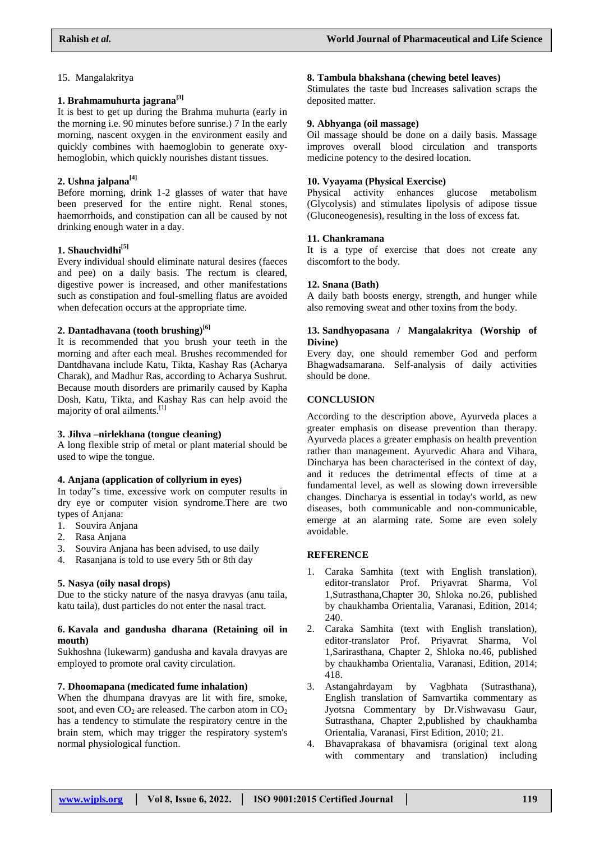#### 15. Mangalakritya

#### **1. Brahmamuhurta jagrana[3]**

It is best to get up during the Brahma muhurta (early in the morning i.e. 90 minutes before sunrise.) 7 In the early morning, nascent oxygen in the environment easily and quickly combines with haemoglobin to generate oxyhemoglobin, which quickly nourishes distant tissues.

# **2. Ushna jalpana[4]**

Before morning, drink 1-2 glasses of water that have been preserved for the entire night. Renal stones, haemorrhoids, and constipation can all be caused by not drinking enough water in a day.

### **1. Shauchvidhi[5]**

Every individual should eliminate natural desires (faeces and pee) on a daily basis. The rectum is cleared, digestive power is increased, and other manifestations such as constipation and foul-smelling flatus are avoided when defecation occurs at the appropriate time.

#### **2. Dantadhavana (tooth brushing)[6]**

It is recommended that you brush your teeth in the morning and after each meal. Brushes recommended for Dantdhavana include Katu, Tikta, Kashay Ras (Acharya Charak), and Madhur Ras, according to Acharya Sushrut. Because mouth disorders are primarily caused by Kapha Dosh, Katu, Tikta, and Kashay Ras can help avoid the majority of oral ailments.[1]

#### **3. Jihva –nirlekhana (tongue cleaning)**

A long flexible strip of metal or plant material should be used to wipe the tongue.

## **4. Anjana (application of collyrium in eyes)**

In today"s time, excessive work on computer results in dry eye or computer vision syndrome.There are two types of Anjana:

- 1. Souvira Anjana
- 2. Rasa Anjana
- 3. Souvira Anjana has been advised, to use daily
- 4. Rasanjana is told to use every 5th or 8th day

# **5. Nasya (oily nasal drops)**

Due to the sticky nature of the nasya dravyas (anu taila, katu taila), dust particles do not enter the nasal tract.

#### **6. Kavala and gandusha dharana (Retaining oil in mouth)**

Sukhoshna (lukewarm) gandusha and kavala dravyas are employed to promote oral cavity circulation.

# **7. Dhoomapana (medicated fume inhalation)**

When the dhumpana dravyas are lit with fire, smoke, soot, and even  $CO_2$  are released. The carbon atom in  $CO_2$ has a tendency to stimulate the respiratory centre in the brain stem, which may trigger the respiratory system's normal physiological function.

#### **8. Tambula bhakshana (chewing betel leaves)**

Stimulates the taste bud Increases salivation scraps the deposited matter.

#### **9. Abhyanga (oil massage)**

Oil massage should be done on a daily basis. Massage improves overall blood circulation and transports medicine potency to the desired location.

# **10. Vyayama (Physical Exercise)**

enhances glucose metabolism (Glycolysis) and stimulates lipolysis of adipose tissue (Gluconeogenesis), resulting in the loss of excess fat.

# **11. Chankramana**

It is a type of exercise that does not create any discomfort to the body.

#### **12. Snana (Bath)**

A daily bath boosts energy, strength, and hunger while also removing sweat and other toxins from the body.

#### **13. Sandhyopasana / Mangalakritya (Worship of Divine)**

Every day, one should remember God and perform Bhagwadsamarana. Self-analysis of daily activities should be done.

# **CONCLUSION**

According to the description above, Ayurveda places a greater emphasis on disease prevention than therapy. Ayurveda places a greater emphasis on health prevention rather than management. Ayurvedic Ahara and Vihara, Dincharya has been characterised in the context of day, and it reduces the detrimental effects of time at a fundamental level, as well as slowing down irreversible changes. Dincharya is essential in today's world, as new diseases, both communicable and non-communicable, emerge at an alarming rate. Some are even solely avoidable.

# **REFERENCE**

- 1. Caraka Samhita (text with English translation), editor-translator Prof. Priyavrat Sharma, Vol 1,Sutrasthana,Chapter 30, Shloka no.26, published by chaukhamba Orientalia, Varanasi, Edition, 2014; 240.
- 2. Caraka Samhita (text with English translation), editor-translator Prof. Priyavrat Sharma, Vol 1,Sarirasthana, Chapter 2, Shloka no.46, published by chaukhamba Orientalia, Varanasi, Edition, 2014; 418.
- 3. Astangahrdayam by Vagbhata (Sutrasthana), English translation of Samvartika commentary as Jyotsna Commentary by Dr.Vishwavasu Gaur, Sutrasthana, Chapter 2,published by chaukhamba Orientalia, Varanasi, First Edition, 2010; 21.
- 4. Bhavaprakasa of bhavamisra (original text along with commentary and translation) including